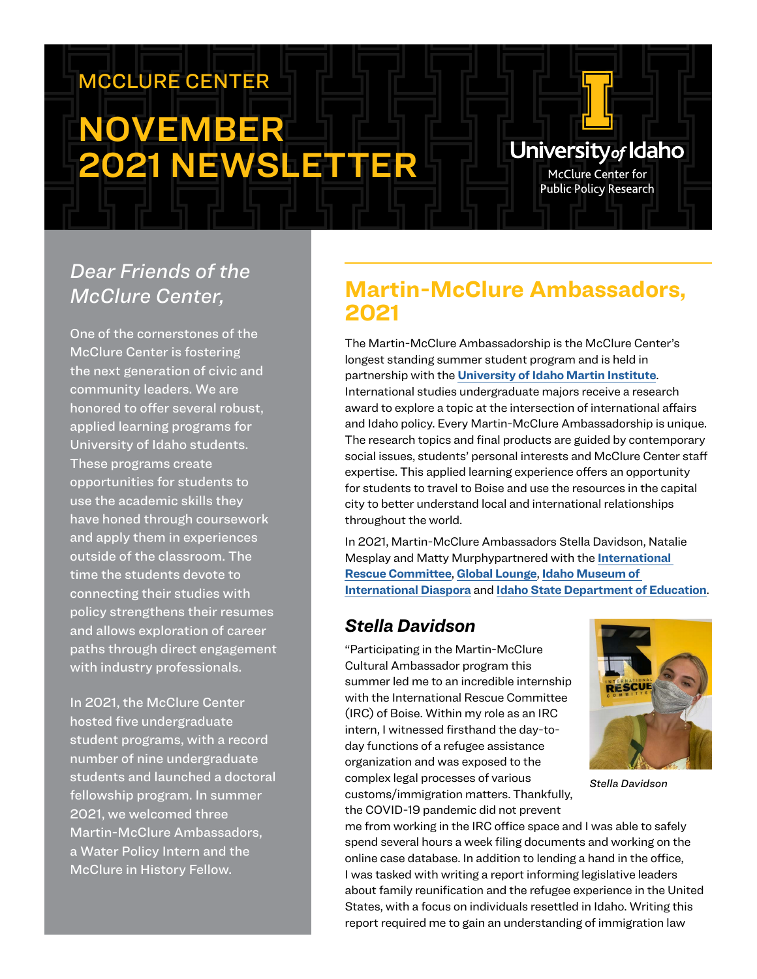# MCCLURE CENTER

# NOVEMBER 2021 NEWSLETTER

# University<sub>of</sub> Idaho

McClure Center for **Public Policy Research** 

# *Dear Friends of the McClure Center,*

One of the cornerstones of the McClure Center is fostering the next generation of civic and community leaders. We are honored to offer several robust, applied learning programs for University of Idaho students. These programs create opportunities for students to use the academic skills they have honed through coursework and apply them in experiences outside of the classroom. The time the students devote to connecting their studies with policy strengthens their resumes and allows exploration of career paths through direct engagement with industry professionals.

In 2021, the McClure Center hosted five undergraduate student programs, with a record number of nine undergraduate students and launched a doctoral fellowship program. In summer 2021, we welcomed three Martin-McClure Ambassadors, a Water Policy Intern and the McClure in History Fellow.

# **Martin-McClure Ambassadors, 2021**

The Martin-McClure Ambassadorship is the McClure Center's longest standing summer student program and is held in partnership with the **[University of Idaho Martin Institute](https://www.uidaho.edu/class/martin-institute)**. International studies undergraduate majors receive a research award to explore a topic at the intersection of international affairs and Idaho policy. Every Martin-McClure Ambassadorship is unique. The research topics and final products are guided by contemporary social issues, students' personal interests and McClure Center staff expertise. This applied learning experience offers an opportunity for students to travel to Boise and use the resources in the capital city to better understand local and international relationships throughout the world.

In 2021, Martin-McClure Ambassadors Stella Davidson, Natalie Mesplay and Matty Murphypartnered with the **I[nternational](https://www.rescue.org/united-states/boise-id)  [Rescue Committee](https://www.rescue.org/united-states/boise-id)**, **[Global Lounge](https://www.globallounge.org/)**, **[Idaho Museum of](https://www.idahomid.org/)  [International Diaspora](https://www.idahomid.org/)** and **[Idaho State Department of Education](https://www.sde.idaho.gov/federal-programs/el/)**.

### *Stella Davidson*

"Participating in the Martin-McClure Cultural Ambassador program this summer led me to an incredible internship with the International Rescue Committee (IRC) of Boise. Within my role as an IRC intern, I witnessed firsthand the day-today functions of a refugee assistance organization and was exposed to the complex legal processes of various customs/immigration matters. Thankfully, the COVID-19 pandemic did not prevent



*Stella Davidson*

me from working in the IRC office space and I was able to safely spend several hours a week filing documents and working on the online case database. In addition to lending a hand in the office, I was tasked with writing a report informing legislative leaders about family reunification and the refugee experience in the United States, with a focus on individuals resettled in Idaho. Writing this report required me to gain an understanding of immigration law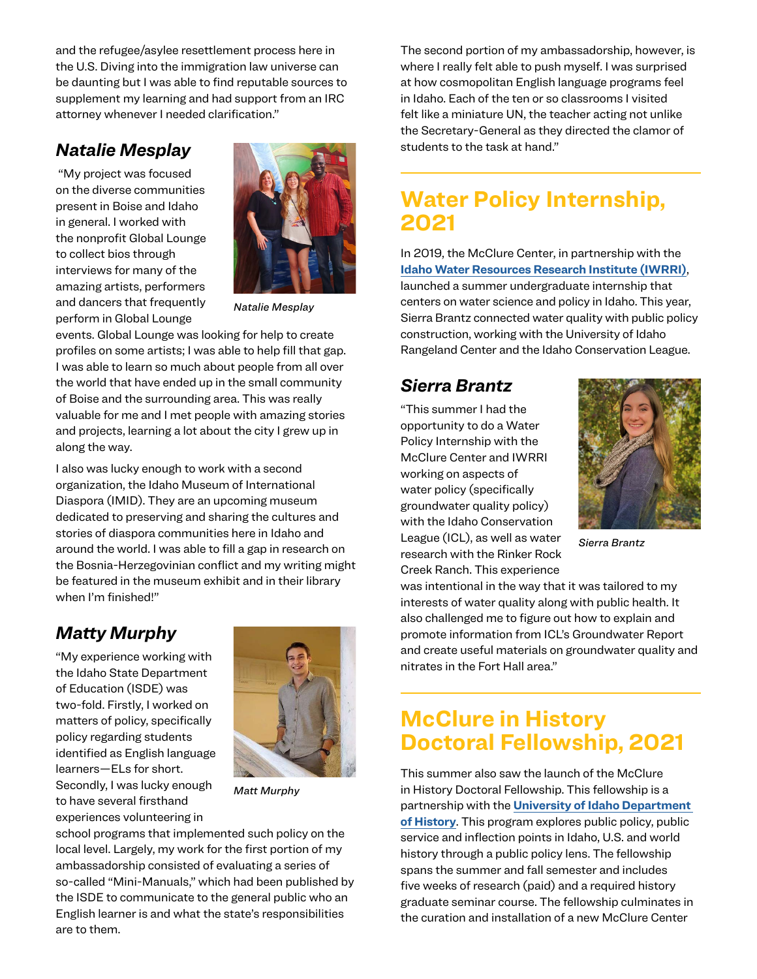and the refugee/asylee resettlement process here in the U.S. Diving into the immigration law universe can be daunting but I was able to find reputable sources to supplement my learning and had support from an IRC attorney whenever I needed clarification."

#### *Natalie Mesplay*

 "My project was focused on the diverse communities present in Boise and Idaho in general. I worked with the nonprofit Global Lounge to collect bios through interviews for many of the amazing artists, performers and dancers that frequently perform in Global Lounge



*Natalie Mesplay*

events. Global Lounge was looking for help to create profiles on some artists; I was able to help fill that gap. I was able to learn so much about people from all over the world that have ended up in the small community of Boise and the surrounding area. This was really valuable for me and I met people with amazing stories and projects, learning a lot about the city I grew up in along the way.

I also was lucky enough to work with a second organization, the Idaho Museum of International Diaspora (IMID). They are an upcoming museum dedicated to preserving and sharing the cultures and stories of diaspora communities here in Idaho and around the world. I was able to fill a gap in research on the Bosnia-Herzegovinian conflict and my writing might be featured in the museum exhibit and in their library when I'm finished!"

#### *Matty Murphy*

"My experience working with the Idaho State Department of Education (ISDE) was two-fold. Firstly, I worked on matters of policy, specifically policy regarding students identified as English language learners—ELs for short. Secondly, I was lucky enough to have several firsthand experiences volunteering in



*Matt Murphy*

school programs that implemented such policy on the local level. Largely, my work for the first portion of my ambassadorship consisted of evaluating a series of so-called "Mini-Manuals," which had been published by the ISDE to communicate to the general public who an English learner is and what the state's responsibilities are to them.

The second portion of my ambassadorship, however, is where I really felt able to push myself. I was surprised at how cosmopolitan English language programs feel in Idaho. Each of the ten or so classrooms I visited felt like a miniature UN, the teacher acting not unlike the Secretary-General as they directed the clamor of students to the task at hand."

### **Water Policy Internship, 2021**

In 2019, the McClure Center, in partnership with the **[Idaho Water Resources Research Institute \(IWRRI\)](https://www.uidaho.edu/research/entities/iwrri)**, launched a summer undergraduate internship that centers on water science and policy in Idaho. This year, Sierra Brantz connected water quality with public policy construction, working with the University of Idaho Rangeland Center and the Idaho Conservation League.

#### *Sierra Brantz*

"This summer I had the opportunity to do a Water Policy Internship with the McClure Center and IWRRI working on aspects of water policy (specifically groundwater quality policy) with the Idaho Conservation League (ICL), as well as water research with the Rinker Rock Creek Ranch. This experience



*Sierra Brantz*

was intentional in the way that it was tailored to my interests of water quality along with public health. It also challenged me to figure out how to explain and promote information from ICL's Groundwater Report and create useful materials on groundwater quality and nitrates in the Fort Hall area."

## **McClure in History Doctoral Fellowship, 2021**

This summer also saw the launch of the McClure in History Doctoral Fellowship. This fellowship is a partnership with the **[University of Idaho Department](https://www.uidaho.edu/class/history)  [of History](https://www.uidaho.edu/class/history)**. This program explores public policy, public service and inflection points in Idaho, U.S. and world history through a public policy lens. The fellowship spans the summer and fall semester and includes five weeks of research (paid) and a required history graduate seminar course. The fellowship culminates in the curation and installation of a new McClure Center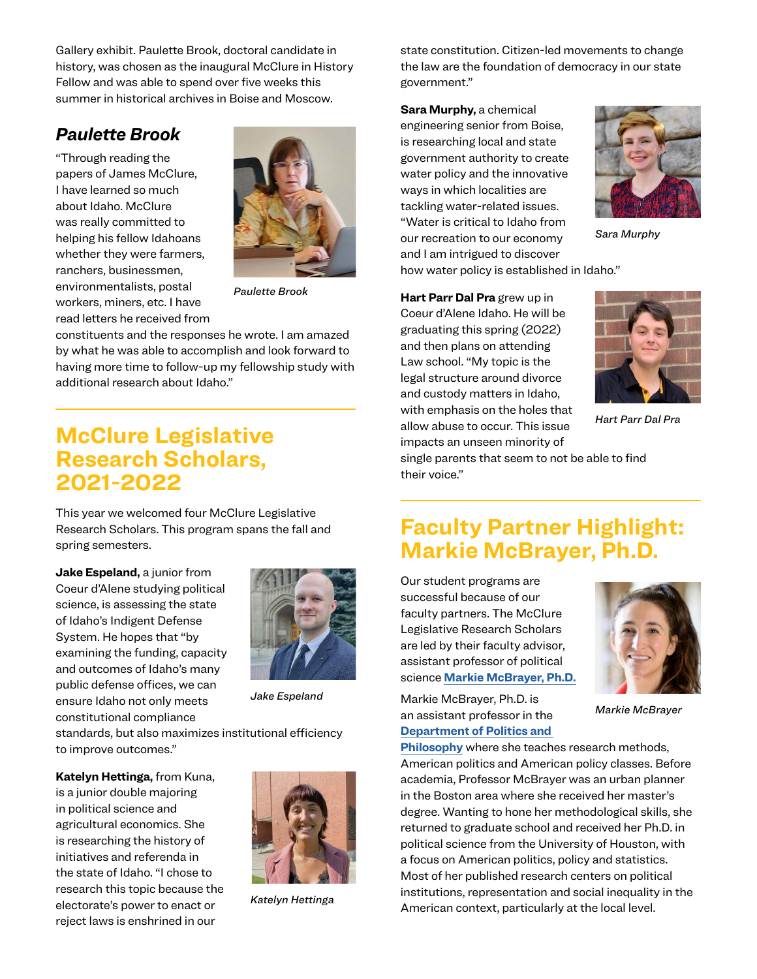Gallery exhibit. Paulette Brook, doctoral candidate in history, was chosen as the inaugural McClure in History Fellow and was able to spend over five weeks this summer in historical archives in Boise and Moscow.

#### *Paulette Brook*

"Through reading the papers of James McClure, I have learned so much about Idaho. McClure was really committed to helping his fellow Idahoans whether they were farmers, ranchers, businessmen, environmentalists, postal workers, miners, etc. I have read letters he received from



*Paulette Brook*

constituents and the responses he wrote. I am amazed by what he was able to accomplish and look forward to having more time to follow-up my fellowship study with additional research about Idaho."

## **McClure Legislative Research Scholars, 2021-2022**

This year we welcomed four McClure Legislative Research Scholars. This program spans the fall and spring semesters.

**Jake Espeland,** a junior from Coeur d'Alene studying political science, is assessing the state of Idaho's Indigent Defense System. He hopes that "by examining the funding, capacity and outcomes of Idaho's many public defense offices, we can ensure Idaho not only meets constitutional compliance



*Jake Espeland*

standards, but also maximizes institutional efficiency to improve outcomes."

**Katelyn Hettinga,** from Kuna, is a junior double majoring in political science and agricultural economics. She is researching the history of initiatives and referenda in the state of Idaho. "I chose to research this topic because the electorate's power to enact or reject laws is enshrined in our



*Katelyn Hettinga*

state constitution. Citizen-led movements to change the law are the foundation of democracy in our state government."

**Sara Murphy,** a chemical engineering senior from Boise, is researching local and state government authority to create water policy and the innovative ways in which localities are tackling water-related issues. "Water is critical to Idaho from our recreation to our economy and I am intrigued to discover how water policy is established in Idaho."



*Sara Murphy*

**Hart Parr Dal Pra** grew up in

Coeur d'Alene Idaho. He will be graduating this spring (2022) and then plans on attending Law school. "My topic is the legal structure around divorce and custody matters in Idaho, with emphasis on the holes that allow abuse to occur. This issue impacts an unseen minority of



*Hart Parr Dal Pra*

single parents that seem to not be able to find their voice."

### **Faculty Partner Highlight: Markie McBrayer, Ph.D.**

Our student programs are successful because of our faculty partners. The McClure Legislative Research Scholars are led by their faculty advisor, assistant professor of political science **[Markie McBrayer, Ph.D.](https://www.uidaho.edu/class/politics-and-philosophy/our-people/markie-mcbrayer)**

Markie McBrayer, Ph.D. is an assistant professor in the **[Department of Politics and](https://www.uidaho.edu/class/politics-and-philosophy)** 



*Markie McBrayer*

**[Philosophy](https://www.uidaho.edu/class/politics-and-philosophy)** where she teaches research methods, American politics and American policy classes. Before academia, Professor McBrayer was an urban planner in the Boston area where she received her master's degree. Wanting to hone her methodological skills, she returned to graduate school and received her Ph.D. in political science from the University of Houston, with a focus on American politics, policy and statistics. Most of her published research centers on political institutions, representation and social inequality in the American context, particularly at the local level.